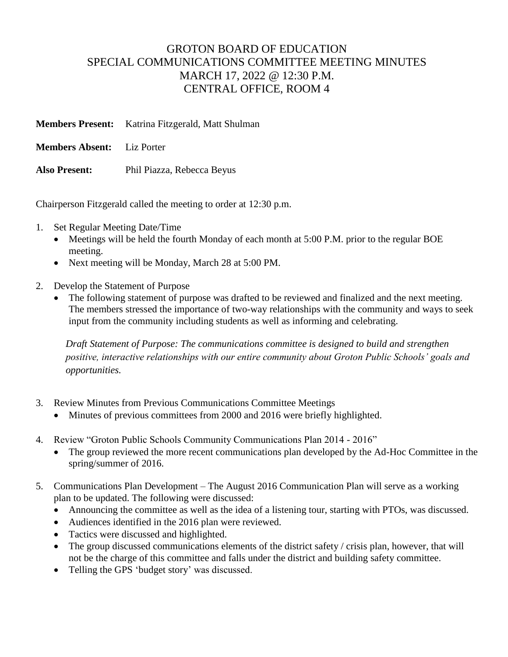## GROTON BOARD OF EDUCATION SPECIAL COMMUNICATIONS COMMITTEE MEETING MINUTES MARCH 17, 2022 @ 12:30 P.M. CENTRAL OFFICE, ROOM 4

|                                   | <b>Members Present:</b> Katrina Fitzgerald, Matt Shulman |
|-----------------------------------|----------------------------------------------------------|
| <b>Members Absent:</b> Liz Porter |                                                          |

**Also Present:** Phil Piazza, Rebecca Beyus

Chairperson Fitzgerald called the meeting to order at 12:30 p.m.

- 1. Set Regular Meeting Date/Time
	- Meetings will be held the fourth Monday of each month at 5:00 P.M. prior to the regular BOE meeting.
	- Next meeting will be Monday, March 28 at 5:00 PM.
- 2. Develop the Statement of Purpose
	- The following statement of purpose was drafted to be reviewed and finalized and the next meeting. The members stressed the importance of two-way relationships with the community and ways to seek input from the community including students as well as informing and celebrating.

*Draft Statement of Purpose: The communications committee is designed to build and strengthen positive, interactive relationships with our entire community about Groton Public Schools' goals and opportunities.*

- 3. Review Minutes from Previous Communications Committee Meetings
	- Minutes of previous committees from 2000 and 2016 were briefly highlighted.
- 4. Review "Groton Public Schools Community Communications Plan 2014 2016"
	- The group reviewed the more recent communications plan developed by the Ad-Hoc Committee in the spring/summer of 2016.
- 5. Communications Plan Development The August 2016 Communication Plan will serve as a working plan to be updated. The following were discussed:
	- Announcing the committee as well as the idea of a listening tour, starting with PTOs, was discussed.
	- Audiences identified in the 2016 plan were reviewed.
	- Tactics were discussed and highlighted.
	- The group discussed communications elements of the district safety / crisis plan, however, that will not be the charge of this committee and falls under the district and building safety committee.
	- Telling the GPS 'budget story' was discussed.